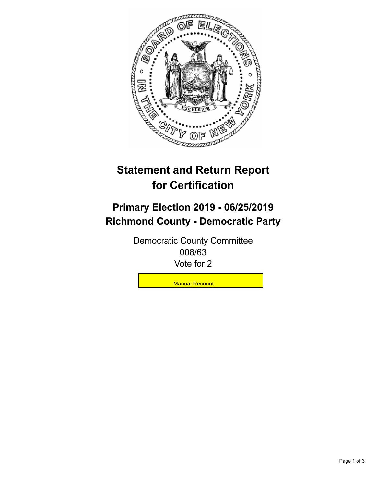

## **Statement and Return Report for Certification**

## **Primary Election 2019 - 06/25/2019 Richmond County - Democratic Party**

Democratic County Committee 008/63 Vote for 2

**Manual Recount**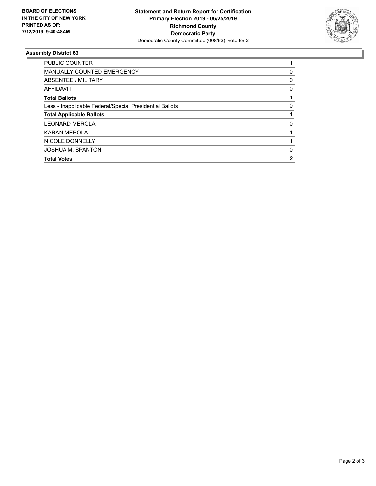

## **Assembly District 63**

| <b>Total Votes</b>                                       | 2        |
|----------------------------------------------------------|----------|
| <b>JOSHUA M. SPANTON</b>                                 | 0        |
| NICOLE DONNELLY                                          |          |
| <b>KARAN MEROLA</b>                                      |          |
| <b>LEONARD MEROLA</b>                                    | $\Omega$ |
| <b>Total Applicable Ballots</b>                          |          |
| Less - Inapplicable Federal/Special Presidential Ballots | 0        |
| <b>Total Ballots</b>                                     |          |
| AFFIDAVIT                                                | 0        |
| ABSENTEE / MILITARY                                      | 0        |
| <b>MANUALLY COUNTED EMERGENCY</b>                        | 0        |
| <b>PUBLIC COUNTER</b>                                    |          |